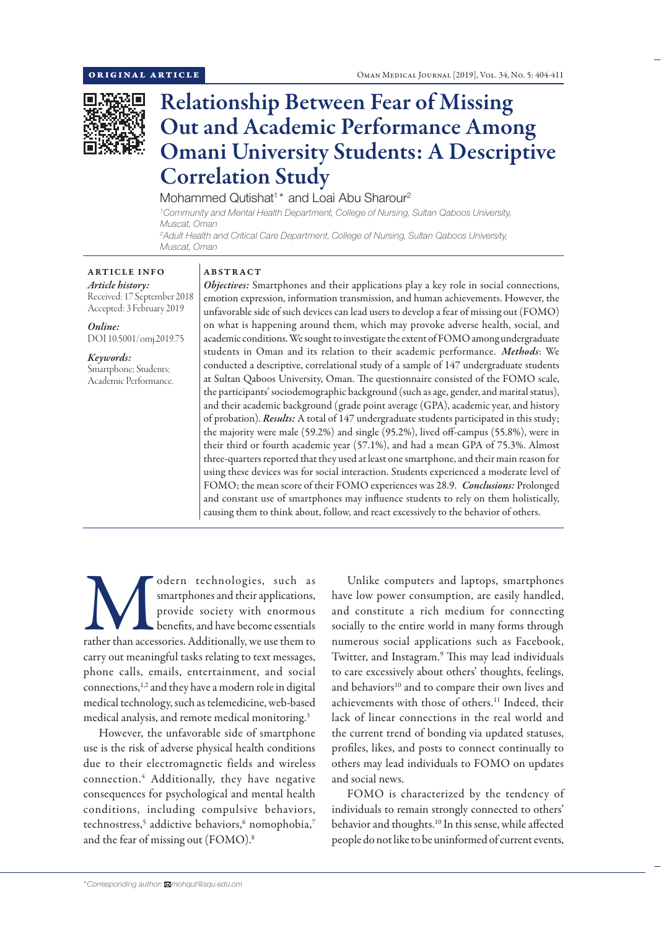

# Relationship Between Fear of Missing Out and Academic Performance Among Omani University Students: A Descriptive Correlation Study

Mohammed Qutishat<sup>1\*</sup> and Loai Abu Sharour<sup>2</sup>

*1 Community and Mental Health Department, College of Nursing, Sultan Qaboos University, Muscat, Oman 2 Adult Health and Critical Care Department, College of Nursing, Sultan Qaboos University,*

*Muscat, Oman*

ARTICLE INFO *Article history:* Received: 17 September 2018 Accepted: 3 February 2019

*Online:* DOI 10.5001/omj.2019.75

*Keywords:*  Smartphone; Students; Academic Performance.

## ABSTRACT

*Objectives:* Smartphones and their applications play a key role in social connections, emotion expression, information transmission, and human achievements. However, the unfavorable side of such devices can lead users to develop a fear of missing out (FOMO) on what is happening around them, which may provoke adverse health, social, and academic conditions. We sought to investigate the extent of FOMO among undergraduate students in Oman and its relation to their academic performance. *Methods*: We conducted a descriptive, correlational study of a sample of 147 undergraduate students at Sultan Qaboos University, Oman. The questionnaire consisted of the FOMO scale, the participants' sociodemographic background (such as age, gender, and marital status), and their academic background (grade point average (GPA), academic year, and history of probation). *Results:* A total of 147 undergraduate students participated in this study; the majority were male (59.2%) and single (95.2%), lived off-campus (55.8%), were in their third or fourth academic year (57.1%), and had a mean GPA of 75.3%. Almost three-quarters reported that they used at least one smartphone, and their main reason for using these devices was for social interaction. Students experienced a moderate level of FOMO; the mean score of their FOMO experiences was 28.9. *Conclusions:* Prolonged and constant use of smartphones may influence students to rely on them holistically, causing them to think about, follow, and react excessively to the behavior of others.

odern technologies, such as<br>
smartphones and their applications,<br>
provide society with enormous<br>
benefits, and have become essentials<br>
rather than accessories. Additionally, we use them to smartphones and their applications, provide society with enormous benefits, and have become essentials carry out meaningful tasks relating to text messages, phone calls, emails, entertainment, and social connections,<sup>1,2</sup> and they have a modern role in digital medical technology, such as telemedicine, web-based medical analysis, and remote medical monitoring.3

However, the unfavorable side of smartphone use is the risk of adverse physical health conditions due to their electromagnetic fields and wireless connection.4 Additionally, they have negative consequences for psychological and mental health conditions, including compulsive behaviors, technostress,<sup>5</sup> addictive behaviors,<sup>6</sup> nomophobia,<sup>7</sup> and the fear of missing out (FOMO).8

Unlike computers and laptops, smartphones have low power consumption, are easily handled, and constitute a rich medium for connecting socially to the entire world in many forms through numerous social applications such as Facebook, Twitter, and Instagram.<sup>9</sup> This may lead individuals to care excessively about others' thoughts, feelings, and behaviors<sup>10</sup> and to compare their own lives and achievements with those of others.11 Indeed, their lack of linear connections in the real world and the current trend of bonding via updated statuses, profiles, likes, and posts to connect continually to others may lead individuals to FOMO on updates and social news.

FOMO is characterized by the tendency of individuals to remain strongly connected to others' behavior and thoughts.<sup>10</sup> In this sense, while affected people do not like to be uninformed of current events,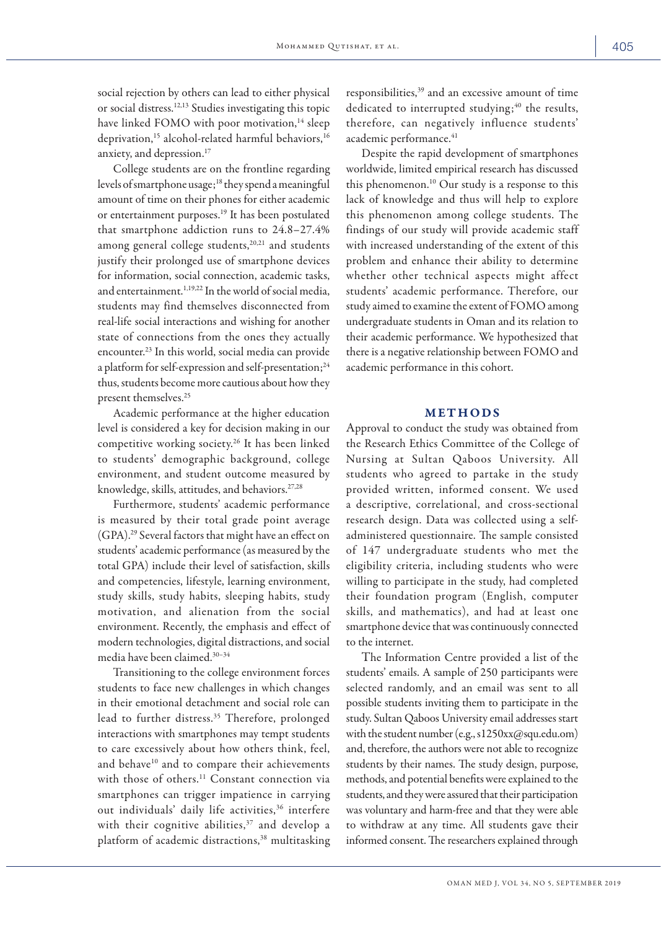social rejection by others can lead to either physical or social distress.12,13 Studies investigating this topic have linked FOMO with poor motivation,<sup>14</sup> sleep deprivation,<sup>15</sup> alcohol-related harmful behaviors,<sup>16</sup> anxiety, and depression.17

College students are on the frontline regarding levels of smartphone usage;<sup>18</sup> they spend a meaningful amount of time on their phones for either academic or entertainment purposes.19 It has been postulated that smartphone addiction runs to 24.8–27.4% among general college students,<sup>20,21</sup> and students justify their prolonged use of smartphone devices for information, social connection, academic tasks, and entertainment.<sup>1,19,22</sup> In the world of social media, students may find themselves disconnected from real-life social interactions and wishing for another state of connections from the ones they actually encounter.23 In this world, social media can provide a platform for self-expression and self-presentation;<sup>24</sup> thus, students become more cautious about how they present themselves.<sup>25</sup>

Academic performance at the higher education level is considered a key for decision making in our competitive working society.26 It has been linked to students' demographic background, college environment, and student outcome measured by knowledge, skills, attitudes, and behaviors.27,28

Furthermore, students' academic performance is measured by their total grade point average (GPA).29 Several factors that might have an effect on students' academic performance (as measured by the total GPA) include their level of satisfaction, skills and competencies, lifestyle, learning environment, study skills, study habits, sleeping habits, study motivation, and alienation from the social environment. Recently, the emphasis and effect of modern technologies, digital distractions, and social media have been claimed.30–34

Transitioning to the college environment forces students to face new challenges in which changes in their emotional detachment and social role can lead to further distress.<sup>35</sup> Therefore, prolonged interactions with smartphones may tempt students to care excessively about how others think, feel, and behave<sup>10</sup> and to compare their achievements with those of others.<sup>11</sup> Constant connection via smartphones can trigger impatience in carrying out individuals' daily life activities,<sup>36</sup> interfere with their cognitive abilities,<sup>37</sup> and develop a platform of academic distractions,<sup>38</sup> multitasking

responsibilities,39 and an excessive amount of time dedicated to interrupted studying; $40$  the results, therefore, can negatively influence students' academic performance.<sup>41</sup>

Despite the rapid development of smartphones worldwide, limited empirical research has discussed this phenomenon.<sup>10</sup> Our study is a response to this lack of knowledge and thus will help to explore this phenomenon among college students. The findings of our study will provide academic staff with increased understanding of the extent of this problem and enhance their ability to determine whether other technical aspects might affect students' academic performance. Therefore, our study aimed to examine the extent of FOMO among undergraduate students in Oman and its relation to their academic performance. We hypothesized that there is a negative relationship between FOMO and academic performance in this cohort.

## METHODS

Approval to conduct the study was obtained from the Research Ethics Committee of the College of Nursing at Sultan Qaboos University. All students who agreed to partake in the study provided written, informed consent. We used a descriptive, correlational, and cross-sectional research design. Data was collected using a selfadministered questionnaire. The sample consisted of 147 undergraduate students who met the eligibility criteria, including students who were willing to participate in the study, had completed their foundation program (English, computer skills, and mathematics), and had at least one smartphone device that was continuously connected to the internet.

The Information Centre provided a list of the students' emails. A sample of 250 participants were selected randomly, and an email was sent to all possible students inviting them to participate in the study. Sultan Qaboos University email addresses start with the student number (e.g., s1250xx@squ.edu.om) and, therefore, the authors were not able to recognize students by their names. The study design, purpose, methods, and potential benefits were explained to the students, and they were assured that their participation was voluntary and harm-free and that they were able to withdraw at any time. All students gave their informed consent. The researchers explained through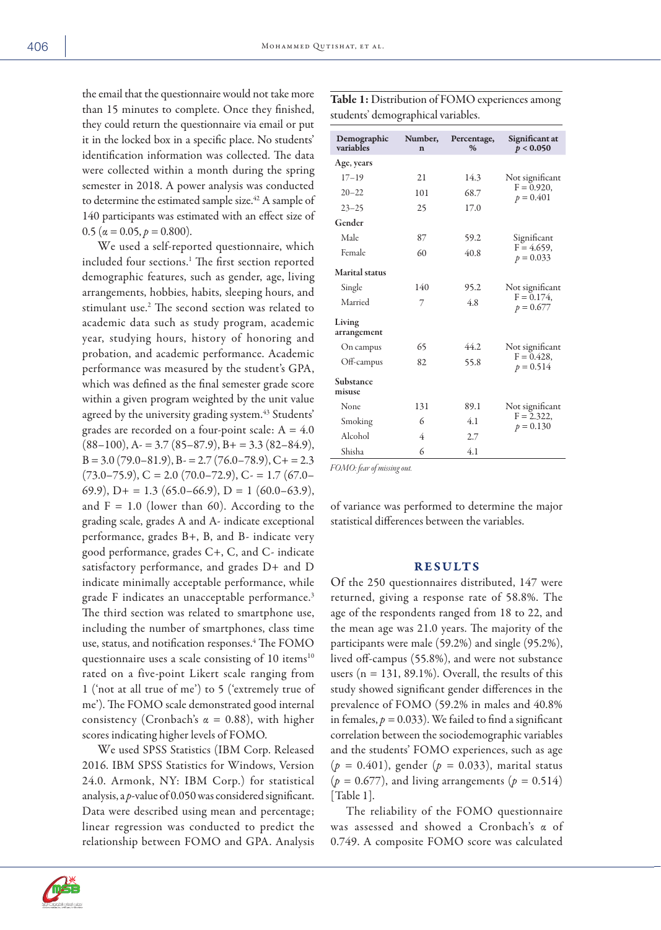the email that the questionnaire would not take more than 15 minutes to complete. Once they finished, they could return the questionnaire via email or put it in the locked box in a specific place. No students' identification information was collected. The data were collected within a month during the spring semester in 2018. A power analysis was conducted to determine the estimated sample size.<sup>42</sup> A sample of 140 participants was estimated with an effect size of 0.5 ( $\alpha$  = 0.05,  $p$  = 0.800).

We used a self-reported questionnaire, which included four sections.1 The first section reported demographic features, such as gender, age, living arrangements, hobbies, habits, sleeping hours, and stimulant use.2 The second section was related to academic data such as study program, academic year, studying hours, history of honoring and probation, and academic performance. Academic performance was measured by the student's GPA, which was defined as the final semester grade score within a given program weighted by the unit value agreed by the university grading system.<sup>43</sup> Students' grades are recorded on a four-point scale:  $A = 4.0$  $(88–100)$ , A $= 3.7 (85–87.9)$ , B $= 3.3 (82–84.9)$ ,  $B = 3.0 (79.0 - 81.9), B = 2.7 (76.0 - 78.9), C + = 2.3$  $(73.0-75.9), C = 2.0 (70.0-72.9), C = 1.7 (67.0-$ 69.9),  $D+ = 1.3$  (65.0–66.9),  $D = 1$  (60.0–63.9), and  $F = 1.0$  (lower than 60). According to the grading scale, grades A and A- indicate exceptional performance, grades B+, B, and B- indicate very good performance, grades C+, C, and C- indicate satisfactory performance, and grades D+ and D indicate minimally acceptable performance, while grade F indicates an unacceptable performance.<sup>3</sup> The third section was related to smartphone use, including the number of smartphones, class time use, status, and notification responses.4 The FOMO questionnaire uses a scale consisting of 10 items<sup>10</sup> rated on a five-point Likert scale ranging from 1 ('not at all true of me') to 5 ('extremely true of me'). The FOMO scale demonstrated good internal consistency (Cronbach's  $\alpha = 0.88$ ), with higher scores indicating higher levels of FOMO.

We used SPSS Statistics (IBM Corp. Released 2016. IBM SPSS Statistics for Windows, Version 24.0. Armonk, NY: IBM Corp.) for statistical analysis, a *p*-value of 0.050 was considered significant. Data were described using mean and percentage; linear regression was conducted to predict the relationship between FOMO and GPA. Analysis

Demographic variables Number, n Percentage, % Significant at  $p < 0.050$ Age, years 17–19 21 14.3 Not significant  $F = 0.920$  $p = 0.401$ <br>  $p = 0.401$ <br>  $p = 0.401$ <br>  $p = 0.401$  $23 - 25$ Gender Male 87 59.2 Significant  $F = 4.659$ , Female 60 40.8  $r = 4.63$ ,  $p = 0.033$ Marital status Single 140 95.2 Not significant  $F = 0.174$ , Married 7 4.8  $\frac{p}{p} = 0.677$ Living arrangement On campus 65 44.2 Not significant  $F = 0.428$ Off-campus 82 55.8  $\frac{1 - 0.428}{p} = 0.514$ Substance misuse None 131 89.1 Not significant  $F = 2.322$ , Smoking 6 4.1  $r = 2.522$ ,<br>Alcohol 4 2.7 Alcohol Shisha 6 4.1

*FOMO: fear of missing out.*

of variance was performed to determine the major statistical differences between the variables.

## RESULTS

Of the 250 questionnaires distributed, 147 were returned, giving a response rate of 58.8%. The age of the respondents ranged from 18 to 22, and the mean age was 21.0 years. The majority of the participants were male (59.2%) and single (95.2%), lived off-campus (55.8%), and were not substance users ( $n = 131, 89.1\%$ ). Overall, the results of this study showed significant gender differences in the prevalence of FOMO (59.2% in males and 40.8% in females,  $p = 0.033$ ). We failed to find a significant correlation between the sociodemographic variables and the students' FOMO experiences, such as age (*p =* 0.401), gender (*p =* 0.033), marital status  $(p = 0.677)$ , and living arrangements  $(p = 0.514)$ [Table 1].

The reliability of the FOMO questionnaire was assessed and showed a Cronbach's α of 0.749. A composite FOMO score was calculated



Table 1: Distribution of FOMO experiences among students' demographical variables.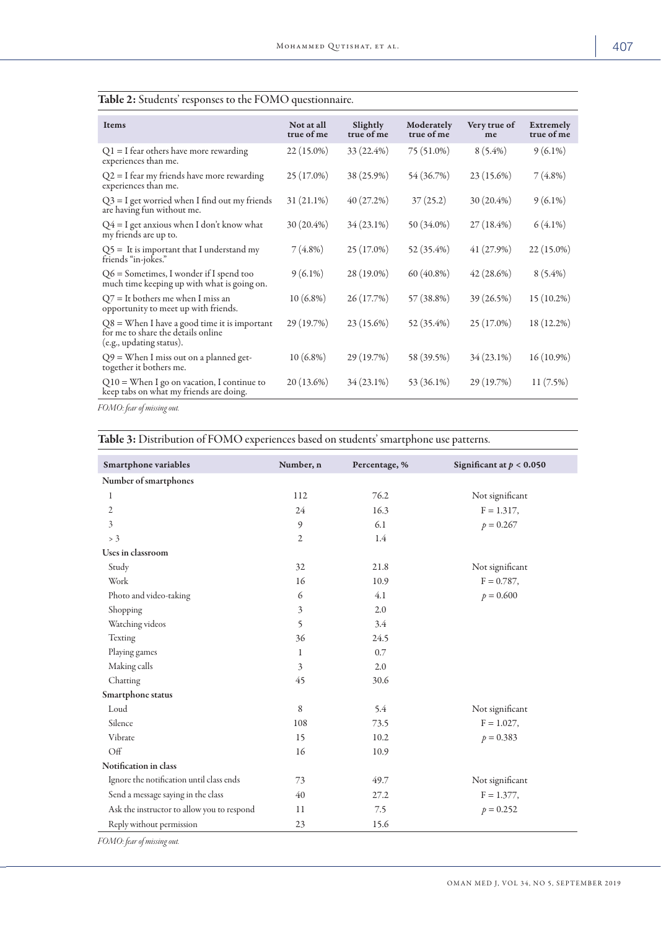| <b>Items</b>                                                                                                     | Not at all<br>true of me | Slightly<br>true of me | Moderately<br>true of me | Very true of<br>me | <b>Extremely</b><br>true of me |
|------------------------------------------------------------------------------------------------------------------|--------------------------|------------------------|--------------------------|--------------------|--------------------------------|
| $Q1 = I$ fear others have more rewarding<br>experiences than me.                                                 | $22(15.0\%)$             | 33 (22.4%)             | 75 (51.0%)               | $8(5.4\%)$         | $9(6.1\%)$                     |
| $Q2 = I$ fear my friends have more rewarding<br>experiences than me.                                             | $25(17.0\%)$             | 38 (25.9%)             | 54 (36.7%)               | 23 (15.6%)         | $7(4.8\%)$                     |
| $Q3 = I$ get worried when I find out my friends<br>are having fun without me.                                    | $31(21.1\%)$             | 40(27.2%)              | 37(25.2)                 | 30 (20.4%)         | $9(6.1\%)$                     |
| $Q4 = I$ get anxious when I don't know what<br>my friends are up to.                                             | $30(20.4\%)$             | $34(23.1\%)$           | 50 (34.0%)               | $27(18.4\%)$       | $6(4.1\%)$                     |
| $Q5 =$ It is important that I understand my<br>friends "in-jokes."                                               | $7(4.8\%)$               | $25(17.0\%)$           | 52 (35.4%)               | 41 (27.9%)         | $22(15.0\%)$                   |
| $Q6$ = Sometimes, I wonder if I spend too<br>much time keeping up with what is going on.                         | $9(6.1\%)$               | 28 (19.0%)             | $60(40.8\%)$             | 42(28.6%)          | $8(5.4\%)$                     |
| $Q7$ = It bothers me when I miss an<br>opportunity to meet up with friends.                                      | $10(6.8\%)$              | 26 (17.7%)             | 57 (38.8%)               | 39 (26.5%)         | 15 (10.2%)                     |
| $Q8 =$ When I have a good time it is important<br>for me to share the details online<br>(e.g., updating status). | 29 (19.7%)               | 23 (15.6%)             | 52 (35.4%)               | 25 (17.0%)         | 18 (12.2%)                     |
| $Q9$ = When I miss out on a planned get-<br>together it bothers me.                                              | $10(6.8\%)$              | 29 (19.7%)             | 58 (39.5%)               | 34 (23.1%)         | $16(10.9\%)$                   |
| $Q10 =$ When I go on vacation, I continue to<br>keep tabs on what my friends are doing.                          | $20(13.6\%)$             | $34(23.1\%)$           | 53 (36.1%)               | 29 (19.7%)         | 11(7.5%)                       |

Table 2: Students' responses to the FOMO questionnaire.

*FOMO: fear of missing out.*

Table 3: Distribution of FOMO experiences based on students' smartphone use patterns.

| Smartphone variables                       | Number, n | Percentage, % | Significant at $p < 0.050$ |
|--------------------------------------------|-----------|---------------|----------------------------|
| Number of smartphones                      |           |               |                            |
| 1                                          | 112       | 76.2          | Not significant            |
| $\mathfrak{2}$                             | 24        | 16.3          | $F = 1.317,$               |
| $\overline{\mathbf{3}}$                    | 9         | 6.1           | $p = 0.267$                |
| > 3                                        | 2         | 1.4           |                            |
| Uses in classroom                          |           |               |                            |
| Study                                      | 32        | 21.8          | Not significant            |
| Work                                       | 16        | 10.9          | $F = 0.787$ ,              |
| Photo and video-taking                     | 6         | 4.1           | $p = 0.600$                |
| Shopping                                   | 3         | 2.0           |                            |
| Watching videos                            | 5         | 3.4           |                            |
| Texting                                    | 36        | 24.5          |                            |
| Playing games                              | 1         | 0.7           |                            |
| Making calls                               | 3         | 2.0           |                            |
| Chatting                                   | 45        | 30.6          |                            |
| Smartphone status                          |           |               |                            |
| Loud                                       | 8         | 5.4           | Not significant            |
| Silence                                    | 108       | 73.5          | $F = 1.027$ ,              |
| Vibrate                                    | 15        | 10.2          | $p = 0.383$                |
| Off                                        | 16        | 10.9          |                            |
| Notification in class                      |           |               |                            |
| Ignore the notification until class ends   | 73        | 49.7          | Not significant            |
| Send a message saying in the class         | 40        | 27.2          | $F = 1.377$ ,              |
| Ask the instructor to allow you to respond | 11        | 7.5           | $p = 0.252$                |
| Reply without permission                   | 23        | 15.6          |                            |

*FOMO: fear of missing out.*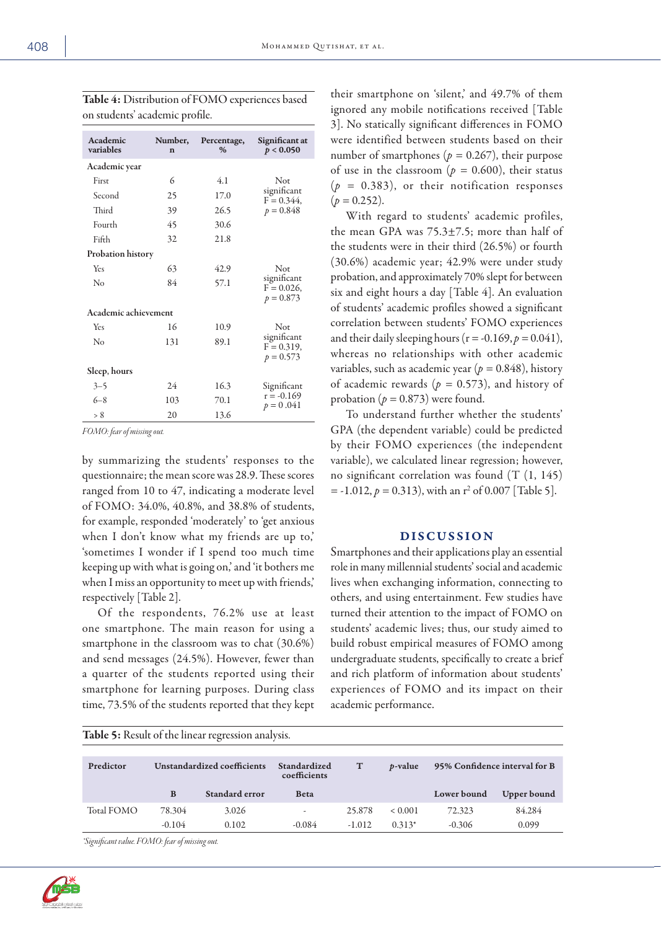| Academic<br>variables    | Number,<br>$\mathbf n$ |      | Significant at<br>p < 0.050                 |  |
|--------------------------|------------------------|------|---------------------------------------------|--|
| Academic year            |                        |      |                                             |  |
| First                    | 6                      | 4.1  | Not                                         |  |
| Second                   | 25                     | 17.0 | significant<br>$F = 0.344$ ,                |  |
| Third                    | 39                     | 26.5 | $p = 0.848$                                 |  |
| Fourth                   | 45                     | 30.6 |                                             |  |
| Fifth                    | 32                     | 21.8 |                                             |  |
| <b>Probation history</b> |                        |      |                                             |  |
| Yes                      | 63                     | 42.9 | Not                                         |  |
| No                       | 84                     | 57.1 | significant<br>$F = 0.026$ ,<br>$p = 0.873$ |  |
| Academic achievement     |                        |      |                                             |  |
| Yes                      | 16                     | 10.9 | Not                                         |  |
| No                       | 131                    | 89.1 | significant<br>$F = 0.319$ ,<br>$p = 0.573$ |  |
| Sleep, hours             |                        |      |                                             |  |
| $3 - 5$                  | 24                     | 16.3 | Significant                                 |  |
| $6 - 8$                  | 103                    | 70.1 | $r = -0.169$<br>$p = 0.041$                 |  |
| > 8                      | 20                     | 13.6 |                                             |  |

Table 4: Distribution of FOMO experiences based on students' academic profile.

*FOMO: fear of missing out.*

by summarizing the students' responses to the questionnaire; the mean score was 28.9. These scores ranged from 10 to 47, indicating a moderate level of FOMO: 34.0%, 40.8%, and 38.8% of students, for example, responded 'moderately' to 'get anxious when I don't know what my friends are up to,' 'sometimes I wonder if I spend too much time keeping up with what is going on,' and 'it bothers me when I miss an opportunity to meet up with friends, respectively [Table 2].

Of the respondents, 76.2% use at least one smartphone. The main reason for using a smartphone in the classroom was to chat (30.6%) and send messages (24.5%). However, fewer than a quarter of the students reported using their smartphone for learning purposes. During class time, 73.5% of the students reported that they kept their smartphone on 'silent,' and 49.7% of them ignored any mobile notifications received [Table 3]. No statically significant differences in FOMO were identified between students based on their number of smartphones ( $p = 0.267$ ), their purpose of use in the classroom ( $p = 0.600$ ), their status (*p =* 0.383), or their notification responses  $(p = 0.252)$ .

With regard to students' academic profiles, the mean GPA was 75.3±7.5; more than half of the students were in their third (26.5%) or fourth (30.6%) academic year; 42.9% were under study probation, and approximately 70% slept for between six and eight hours a day [Table 4]. An evaluation of students' academic profiles showed a significant correlation between students' FOMO experiences and their daily sleeping hours ( $r = -0.169$ ,  $p = 0.041$ ), whereas no relationships with other academic variables, such as academic year (*p =* 0.848), history of academic rewards (*p =* 0.573), and history of probation  $(p = 0.873)$  were found.

To understand further whether the students' GPA (the dependent variable) could be predicted by their FOMO experiences (the independent variable), we calculated linear regression; however, no significant correlation was found (T (1, 145)  $=$  -1.012,  $p = 0.313$ ), with an r<sup>2</sup> of 0.007 [Table 5].

# DISCUSSION

Smartphones and their applications play an essential role in many millennial students' social and academic lives when exchanging information, connecting to others, and using entertainment. Few studies have turned their attention to the impact of FOMO on students' academic lives; thus, our study aimed to build robust empirical measures of FOMO among undergraduate students, specifically to create a brief and rich platform of information about students' experiences of FOMO and its impact on their academic performance.

| Table 5: Result of the linear regression analysis. |  |
|----------------------------------------------------|--|
|                                                    |  |

| Predictor  | Unstandardized coefficients |                | Standardized<br>coefficients | $\mathbf T$ | <i>b</i> -value | 95% Confidence interval for B |             |
|------------|-----------------------------|----------------|------------------------------|-------------|-----------------|-------------------------------|-------------|
|            | B                           | Standard error | <b>Beta</b>                  |             |                 | Lower bound                   | Upper bound |
| Total FOMO | 78.304                      | 3.026          | ۰                            | 25.878      | < 0.001         | 72.323                        | 84.284      |
|            | $-0.104$                    | 0.102          | $-0.084$                     | $-1.012$    | $0.313*$        | $-0.306$                      | 0.099       |

*\*Significant value. FOMO: fear of missing out.*

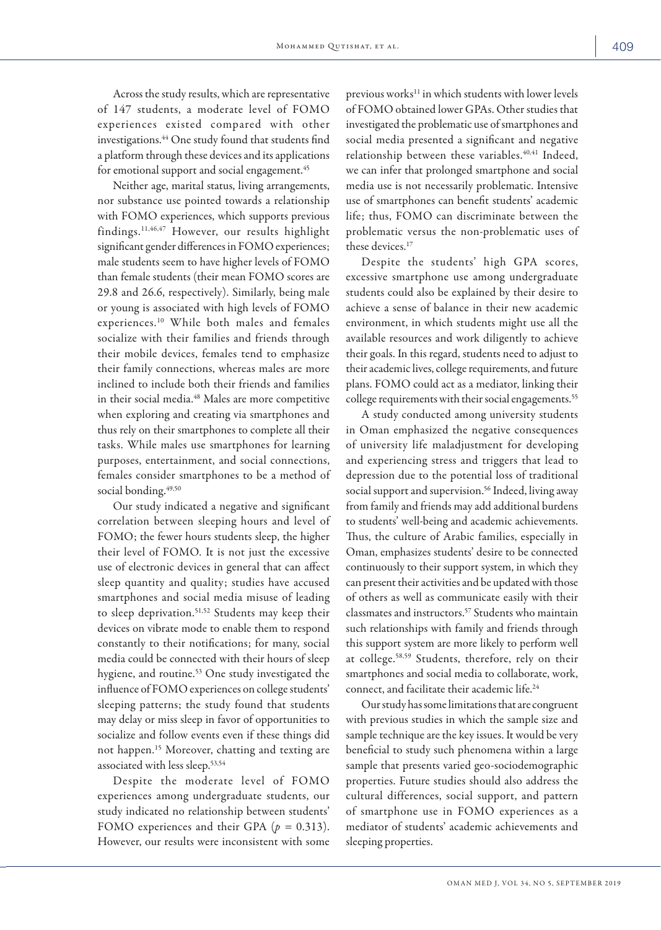Across the study results, which are representative of 147 students, a moderate level of FOMO experiences existed compared with other investigations.<sup>44</sup> One study found that students find a platform through these devices and its applications for emotional support and social engagement.<sup>45</sup>

Neither age, marital status, living arrangements, nor substance use pointed towards a relationship with FOMO experiences, which supports previous findings.11,46,47 However, our results highlight significant gender differences in FOMO experiences; male students seem to have higher levels of FOMO than female students (their mean FOMO scores are 29.8 and 26.6, respectively). Similarly, being male or young is associated with high levels of FOMO experiences.10 While both males and females socialize with their families and friends through their mobile devices, females tend to emphasize their family connections, whereas males are more inclined to include both their friends and families in their social media.<sup>48</sup> Males are more competitive when exploring and creating via smartphones and thus rely on their smartphones to complete all their tasks. While males use smartphones for learning purposes, entertainment, and social connections, females consider smartphones to be a method of social bonding.<sup>49,50</sup>

Our study indicated a negative and significant correlation between sleeping hours and level of FOMO; the fewer hours students sleep, the higher their level of FOMO. It is not just the excessive use of electronic devices in general that can affect sleep quantity and quality; studies have accused smartphones and social media misuse of leading to sleep deprivation.<sup>51,52</sup> Students may keep their devices on vibrate mode to enable them to respond constantly to their notifications; for many, social media could be connected with their hours of sleep hygiene, and routine.53 One study investigated the influence of FOMO experiences on college students' sleeping patterns; the study found that students may delay or miss sleep in favor of opportunities to socialize and follow events even if these things did not happen.15 Moreover, chatting and texting are associated with less sleep.53,54

Despite the moderate level of FOMO experiences among undergraduate students, our study indicated no relationship between students' FOMO experiences and their GPA (*p =* 0.313). However, our results were inconsistent with some previous works<sup>11</sup> in which students with lower levels of FOMO obtained lower GPAs. Other studies that investigated the problematic use of smartphones and social media presented a significant and negative relationship between these variables.<sup>40,41</sup> Indeed, we can infer that prolonged smartphone and social media use is not necessarily problematic. Intensive use of smartphones can benefit students' academic life; thus, FOMO can discriminate between the problematic versus the non-problematic uses of these devices.<sup>17</sup>

Despite the students' high GPA scores, excessive smartphone use among undergraduate students could also be explained by their desire to achieve a sense of balance in their new academic environment, in which students might use all the available resources and work diligently to achieve their goals. In this regard, students need to adjust to their academic lives, college requirements, and future plans. FOMO could act as a mediator, linking their college requirements with their social engagements.<sup>55</sup>

A study conducted among university students in Oman emphasized the negative consequences of university life maladjustment for developing and experiencing stress and triggers that lead to depression due to the potential loss of traditional social support and supervision.<sup>56</sup> Indeed, living away from family and friends may add additional burdens to students' well-being and academic achievements. Thus, the culture of Arabic families, especially in Oman, emphasizes students' desire to be connected continuously to their support system, in which they can present their activities and be updated with those of others as well as communicate easily with their classmates and instructors.57 Students who maintain such relationships with family and friends through this support system are more likely to perform well at college.58,59 Students, therefore, rely on their smartphones and social media to collaborate, work, connect, and facilitate their academic life.24

Our study has some limitations that are congruent with previous studies in which the sample size and sample technique are the key issues. It would be very beneficial to study such phenomena within a large sample that presents varied geo-sociodemographic properties. Future studies should also address the cultural differences, social support, and pattern of smartphone use in FOMO experiences as a mediator of students' academic achievements and sleeping properties.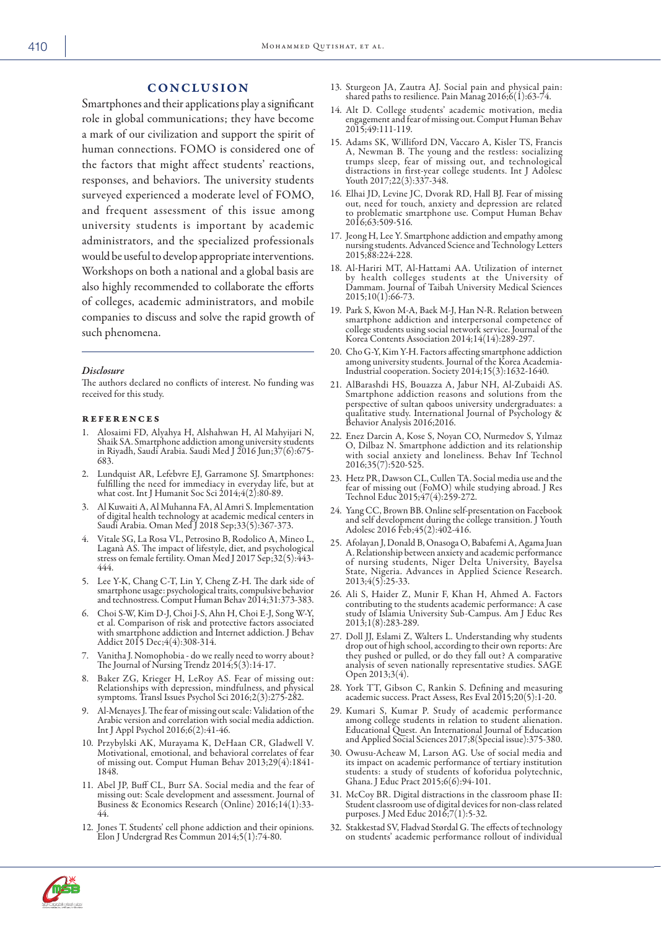# **CONCLUSION**

Smartphones and their applications play a significant role in global communications; they have become a mark of our civilization and support the spirit of human connections. FOMO is considered one of the factors that might affect students' reactions, responses, and behaviors. The university students surveyed experienced a moderate level of FOMO, and frequent assessment of this issue among university students is important by academic administrators, and the specialized professionals would be useful to develop appropriate interventions. Workshops on both a national and a global basis are also highly recommended to collaborate the efforts of colleges, academic administrators, and mobile companies to discuss and solve the rapid growth of such phenomena.

#### *Disclosure*

The authors declared no conflicts of interest. No funding was received for this study.

#### references

- 1. Alosaimi FD, Alyahya H, Alshahwan H, Al Mahyijari N, Shaik SA. Smartphone addiction among university students in Riyadh, Saudi Arabia. Saudi Med J 2016 Jun;37(6):675- 683.
- 2. Lundquist AR, Lefebvre EJ, Garramone SJ. Smartphones: fulfilling the need for immediacy in everyday life, but at what cost. Int J Humanit Soc Sci 2014;4(2):80-89.
- 3. Al Kuwaiti A, Al Muhanna FA, Al Amri S. Implementation of digital health technology at academic medical centers in Saudi Arabia. Oman Med J 2018 Sep;33(5):367-373.
- 4. Vitale SG, La Rosa VL, Petrosino B, Rodolico A, Mineo L, Laganà AS. The impact of lifestyle, diet, and psychological stress on female fertility. Oman Med J 2017 Sep;32(5):443- 444.
- 5. Lee Y-K, Chang C-T, Lin Y, Cheng Z-H. The dark side of smartphone usage: psychological traits, compulsive behavior and technostress. Comput Human Behav 2014;31:373-383.
- 6. Choi S-W, Kim D-J, Choi J-S, Ahn H, Choi E-J, Song W-Y, et al. Comparison of risk and protective factors associated with smartphone addiction and Internet addiction. J Behav Addict 2015 Dec;4(4):308-314.
- 7. Vanitha J. Nomophobia do we really need to worry about? The Journal of Nursing Trendz 2014;5(3):14-17.
- 8. Baker ZG, Krieger H, LeRoy AS. Fear of missing out: Relationships with depression, mindfulness, and physical symptoms. Transl Issues Psychol Sci 2016;2(3):275-282.
- 9. Al-Menayes J. The fear of missing out scale: Validation of the Arabic version and correlation with social media addiction. Int J Appl Psychol 2016;6(2):41-46.
- 10. Przybylski AK, Murayama K, DeHaan CR, Gladwell V. Motivational, emotional, and behavioral correlates of fear of missing out. Comput Human Behav 2013;29(4):1841- 1848.
- 11. Abel JP, Buff CL, Burr SA. Social media and the fear of missing out: Scale development and assessment. Journal of Business & Economics Research (Online) 2016;14(1):33- 44.
- 12. Jones T. Students' cell phone addiction and their opinions. Elon J Undergrad Res Commun 2014;5(1):74-80.
- 13. Sturgeon JA, Zautra AJ. Social pain and physical pain: shared paths to resilience. Pain Manag 2016;6(1):63-74.
- 14. Alt D. College students' academic motivation, media engagement and fear of missing out. Comput Human Behav 2015;49:111-119.
- 15. Adams SK, Williford DN, Vaccaro A, Kisler TS, Francis A, Newman B. The young and the restless: socializing trumps sleep, fear of missing out, and technological distractions in first-year college students. Int J Adolesc Youth 2017;22(3):337-348.
- 16. Elhai JD, Levine JC, Dvorak RD, Hall BJ. Fear of missing out, need for touch, anxiety and depression are related to problematic smartphone use. Comput Human Behav 2016;63:509-516.
- 17. Jeong H, Lee Y. Smartphone addiction and empathy among nursing students. Advanced Science and Technology Letters 2015;88:224-228.
- 18. Al-Hariri MT, Al-Hattami AA. Utilization of internet by health colleges students at the University of Dammam. Journal of Taibah University Medical Sciences 2015;10(1):66-73.
- 19. Park S, Kwon M-A, Baek M-J, Han N-R. Relation between smartphone addiction and interpersonal competence of college students using social network service. Journal of the Korea Contents Association 2014;14(14):289-297.
- 20. Cho G-Y, Kim Y-H. Factors affecting smartphone addiction among university students. Journal of the Korea Academia-Industrial cooperation. Society 2014;15(3):1632-1640.
- 21. AlBarashdi HS, Bouazza A, Jabur NH, Al-Zubaidi AS. Smartphone addiction reasons and solutions from the perspective of sultan qaboos university undergraduates: a qualitative study. International Journal of Psychology & Behavior Analysis 2016;2016.
- 22. Enez Darcin A, Kose S, Noyan CO, Nurmedov S, Yılmaz O, Dilbaz N. Smartphone addiction and its relationship with social anxiety and loneliness. Behav Inf Technol 2016;35(7):520-525.
- 23. Hetz PR, Dawson CL, Cullen TA. Social media use and the fear of missing out (FoMO) while studying abroad. J Res Technol Educ 2015;47(4):259-272.
- 24. Yang CC, Brown BB. Online self-presentation on Facebook and self development during the college transition. J Youth Adolesc 2016 Feb;45(2):402-416.
- 25. Afolayan J, Donald B, Onasoga O, Babafemi A, Agama Juan A. Relationship between anxiety and academic performance of nursing students, Niger Delta University, Bayelsa State, Nigeria. Advances in Applied Science Research. 2013;4(5):25-33.
- 26. Ali S, Haider Z, Munir F, Khan H, Ahmed A. Factors etudy of Islamia University Sub-Campus. Am J Educ Res 2013;1(8):283-289.<br>27. Doll JJ, Eslami Z, Walters L. Understanding why students
- drop out of high school, according to their own reports: Are<br>they pushed or pulled, or do they fall out? A comparative<br>analysis of seven nationally representative studies. SAGE Open 2013;3(4).
- 28. York TT, Gibson C, Rankin S. Defining and measuring academic success. Pract Assess, Res Eval 2015;20(5):1-20.
- 29. Kumari S, Kumar P. Study of academic performance among college students in relation to student alienation. Educational Quest. An International Journal of Education and Applied Social Sciences 2017;8(Special issue):375-380.
- 30. Owusu-Acheaw M, Larson AG. Use of social media and its impact on academic performance of tertiary institution students: a study of students of koforidua polytechnic, Ghana. J Educ Pract 2015;6(6):94-101.
- 31. McCoy BR. Digital distractions in the classroom phase II: Student classroom use of digital devices for non-class related purposes. J Med Educ 2016;7(1):5-32.
- 32. Stakkestad SV, Fladvad Størdal G. The effects of technology on students' academic performance rollout of individual